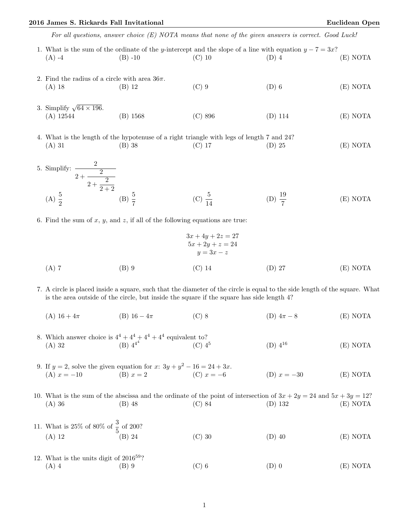## 2016 James S. Rickards Fall Invitational Euclidean Open

For all questions, answer choice (E) NOTA means that none of the given answers is correct. Good Luck!

- 1. What is the sum of the ordinate of the y-intercept and the slope of a line with equation  $y 7 = 3x$ ? (A) -4 (B) -10 (C) 10 (D) 4 (E) NOTA 2. Find the radius of a circle with area  $36\pi$ . (A) 18 (B) 12 (C) 9 (D) 6 (E) NOTA 3. Simplify  $\sqrt{64 \times 196}$ . (A) 12544 (B) 1568 (C) 896 (D) 114 (E) NOTA 4. What is the length of the hypotenuse of a right triangle with legs of length 7 and 24? (A) 31 (B) 38 (C) 17 (D) 25 (E) NOTA
- 5. Simplify:  $\frac{2}{\sqrt{2}}$  $\frac{2}{2} + \frac{2}{2}$  $\frac{2}{2+\frac{2}{2}}$  $2 + 2$ (A)  $\frac{5}{2}$ (B)  $\frac{5}{7}$ (C)  $\frac{5}{14}$ (D)  $\frac{19}{7}$ (E) NOTA
- 6. Find the sum of  $x, y$ , and  $z$ , if all of the following equations are true:

$$
3x + 4y + 2z = 27
$$
  
\n
$$
5x + 2y + z = 24
$$
  
\n
$$
y = 3x - z
$$
  
\n(A) 7  
\n(B) 9  
\n(C) 14  
\n(D) 27  
\n(E) NOTA

- 7. A circle is placed inside a square, such that the diameter of the circle is equal to the side length of the square. What is the area outside of the circle, but inside the square if the square has side length 4?
	- (A)  $16 + 4\pi$  (B)  $16 4\pi$  (C) 8 (D)  $4\pi 8$  (E) NOTA
- 8. Which answer choice is  $4^4 + 4^4 + 4^4 + 4^4$  equivalent to? (A) 32 (B)  $4^{4^4}$  (C)  $4^5$ (D)  $4^{16}$  (E) NOTA
- 9. If  $y = 2$ , solve the given equation for  $x: 3y + y^2 16 = 24 + 3x$ . (A)  $x = -10$  (B)  $x = 2$  (C)  $x = -6$  (D)  $x = -30$  (E) NOTA
- 10. What is the sum of the abscissa and the ordinate of the point of intersection of  $3x + 2y = 24$  and  $5x + 3y = 12$ ? (A) 36 (B) 48 (C) 84 (D) 132 (E) NOTA
- 11. What is 25% of 80% of  $\frac{3}{5}$  of 200? (A) 12 (B) 24 (C) 30 (D) 40 (E) NOTA
- 12. What is the units digit of  $2016^{59}$ ? (A) 4 (B) 9 (C) 6 (D) 0 (E) NOTA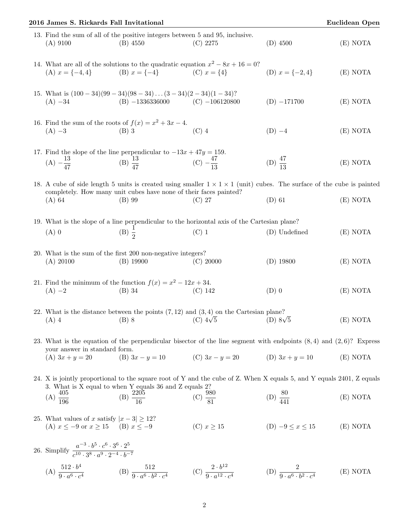| 2016 James S. Rickards Fall Invitational                                                                                   |                                                                                                                                                                                                                    |                                                       |                                                 | <b>Euclidean Open</b> |
|----------------------------------------------------------------------------------------------------------------------------|--------------------------------------------------------------------------------------------------------------------------------------------------------------------------------------------------------------------|-------------------------------------------------------|-------------------------------------------------|-----------------------|
| $(A)$ 9100                                                                                                                 | 13. Find the sum of all of the positive integers between 5 and 95, inclusive.<br>$(B)$ 4550                                                                                                                        | $(C)$ 2275                                            | $(D)$ 4500                                      | (E) NOTA              |
| (A) $x = \{-4, 4\}$                                                                                                        | 14. What are all of the solutions to the quadratic equation $x^2 - 8x + 16 = 0$ ?<br>(B) $x = \{-4\}$ (C) $x = \{4\}$                                                                                              |                                                       | (D) $x = \{-2, 4\}$                             | (E) NOTA              |
| $(A) -34$                                                                                                                  | 15. What is $(100-34)(99-34)(98-34)(3-34)(2-34)(1-34)$ ?<br>(B) $-1336336000$ (C) $-106120800$                                                                                                                     |                                                       | $(D) -171700$                                   | (E) NOTA              |
|                                                                                                                            | 16. Find the sum of the roots of $f(x) = x^2 + 3x - 4$ .<br>(A) $-3$ (B) 3                                                                                                                                         | $(C)$ 4                                               | $(D) -4$                                        | (E) NOTA              |
| (A) $-\frac{13}{47}$                                                                                                       | 17. Find the slope of the line perpendicular to $-13x + 47y = 159$ .<br>(B) $\frac{13}{47}$                                                                                                                        | (C) $-\frac{47}{13}$                                  | (D) $\frac{47}{13}$                             | (E) NOTA              |
| (A) 64                                                                                                                     | 18. A cube of side length 5 units is created using smaller $1 \times 1 \times 1$ (unit) cubes. The surface of the cube is painted<br>completely. How many unit cubes have none of their faces painted?<br>$(B)$ 99 | (C) 27                                                | $(D)$ 61                                        | (E) NOTA              |
| $(A)$ 0                                                                                                                    | 19. What is the slope of a line perpendicular to the horizontal axis of the Cartesian plane?<br>(B) $\frac{1}{2}$                                                                                                  | $(C)$ 1                                               | (D) Undefined                                   | (E) NOTA              |
| (A) 20100                                                                                                                  | 20. What is the sum of the first 200 non-negative integers?<br>$(B)$ 19900                                                                                                                                         | (C) 20000                                             | $(D)$ 19800                                     | (E) NOTA              |
| $(A) -2$                                                                                                                   | 21. Find the minimum of the function $f(x) = x^2 - 12x + 34$ .<br>$(B)$ 34                                                                                                                                         | $(C)$ 142                                             | $(D)$ 0                                         | (E) NOTA              |
| $(A)$ 4                                                                                                                    | 22. What is the distance between the points $(7, 12)$ and $(3, 4)$ on the Cartesian plane?<br>$(B)$ 8                                                                                                              | (C) $4\sqrt{5}$ (D) $8\sqrt{5}$                       |                                                 | (E) NOTA              |
| your answer in standard form.<br>(A) $3x + y = 20$                                                                         | 23. What is the equation of the perpendicular bisector of the line segment with endpoints $(8,4)$ and $(2,6)$ ? Express                                                                                            | (B) $3x - y = 10$ (C) $3x - y = 20$ (D) $3x + y = 10$ |                                                 | (E) NOTA              |
|                                                                                                                            | 24. X is jointly proportional to the square root of Y and the cube of Z. When X equals 5, and Y equals 2401, Z equals<br>3. What is X equal to when Y equals 36 and Z equals 2?                                    |                                                       |                                                 |                       |
| (A) $\frac{405}{196}$                                                                                                      | (B) $\frac{2205}{16}$                                                                                                                                                                                              | (C) $\frac{980}{81}$                                  | (D) $\frac{80}{441}$                            | (E) NOTA              |
| 25. What values of x satisfy $ x-3  \ge 12$ ?<br>(A) $x \le -9$ or $x \ge 15$ (B) $x \le -9$                               |                                                                                                                                                                                                                    | (C) $x \geq 15$                                       | (D) $-9 \le x \le 15$                           | (E) NOTA              |
| 26. Simplify $\frac{a^{-3} \cdot b^5 \cdot c^6 \cdot 3^6 \cdot 2^5}{c^{10} \cdot 3^8 \cdot a^9 \cdot 2^{-4} \cdot b^{-7}}$ |                                                                                                                                                                                                                    |                                                       |                                                 |                       |
| (A) $\frac{512 \cdot b^4}{9 \cdot a^6 \cdot c^4}$                                                                          | (B) $\frac{512}{9 \cdot a^6 \cdot b^2 \cdot c^4}$                                                                                                                                                                  | (C) $\frac{2 \cdot b^{12}}{9 \cdot a^{12} \cdot c^4}$ | (D) $\frac{2}{9 \cdot a^6 \cdot b^2 \cdot c^4}$ | (E) NOTA              |